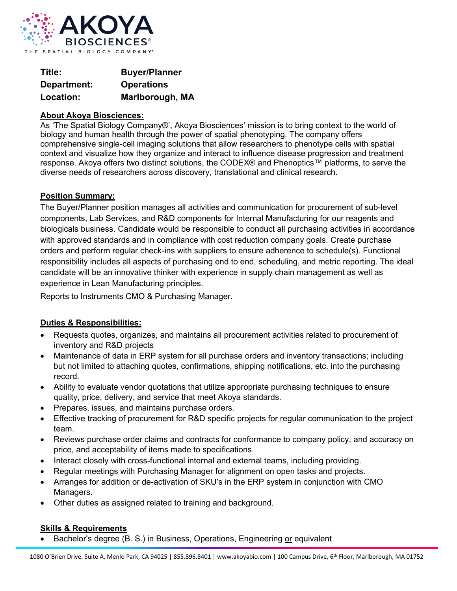

| Title:      | <b>Buyer/Planner</b> |
|-------------|----------------------|
| Department: | <b>Operations</b>    |
| Location:   | Marlborough, MA      |

## **About Akoya Biosciences:**

As 'The Spatial Biology Company®', Akoya Biosciences' mission is to bring context to the world of biology and human health through the power of spatial phenotyping. The company offers comprehensive single-cell imaging solutions that allow researchers to phenotype cells with spatial context and visualize how they organize and interact to influence disease progression and treatment response. Akoya offers two distinct solutions, the CODEX® and Phenoptics™ platforms, to serve the diverse needs of researchers across discovery, translational and clinical research.

## **Position Summary:**

The Buyer/Planner position manages all activities and communication for procurement of sub-level components, Lab Services, and R&D components for Internal Manufacturing for our reagents and biologicals business. Candidate would be responsible to conduct all purchasing activities in accordance with approved standards and in compliance with cost reduction company goals. Create purchase orders and perform regular check-ins with suppliers to ensure adherence to schedule(s). Functional responsibility includes all aspects of purchasing end to end, scheduling, and metric reporting. The ideal candidate will be an innovative thinker with experience in supply chain management as well as experience in Lean Manufacturing principles.

Reports to Instruments CMO & Purchasing Manager.

## **Duties & Responsibilities:**

- Requests quotes, organizes, and maintains all procurement activities related to procurement of inventory and R&D projects
- Maintenance of data in ERP system for all purchase orders and inventory transactions; including but not limited to attaching quotes, confirmations, shipping notifications, etc. into the purchasing record.
- Ability to evaluate vendor quotations that utilize appropriate purchasing techniques to ensure quality, price, delivery, and service that meet Akoya standards.
- Prepares, issues, and maintains purchase orders.
- Effective tracking of procurement for R&D specific projects for regular communication to the project team.
- Reviews purchase order claims and contracts for conformance to company policy, and accuracy on price, and acceptability of items made to specifications.
- Interact closely with cross-functional internal and external teams, including providing.
- Regular meetings with Purchasing Manager for alignment on open tasks and projects.
- Arranges for addition or de-activation of SKU's in the ERP system in conjunction with CMO Managers.
- Other duties as assigned related to training and background.

## **Skills & Requirements**

• Bachelor's degree (B. S.) in Business, Operations, Engineering or equivalent